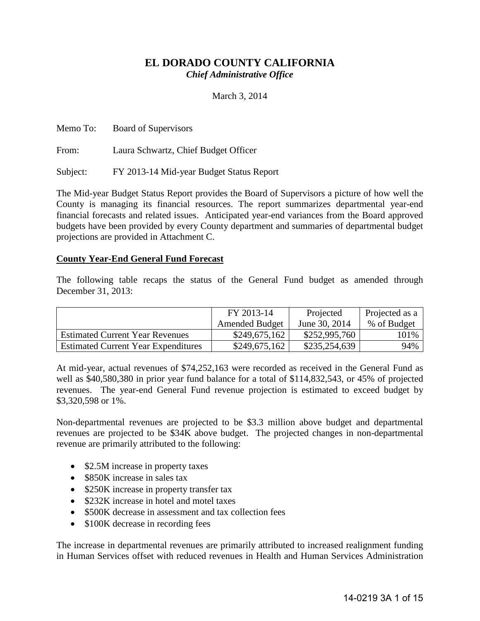# **EL DORADO COUNTY CALIFORNIA** *Chief Administrative Office*

March 3, 2014

Memo To: Board of Supervisors From: Laura Schwartz, Chief Budget Officer

Subject: FY 2013-14 Mid-year Budget Status Report

The Mid-year Budget Status Report provides the Board of Supervisors a picture of how well the County is managing its financial resources. The report summarizes departmental year-end financial forecasts and related issues. Anticipated year-end variances from the Board approved budgets have been provided by every County department and summaries of departmental budget projections are provided in Attachment C.

# **County Year-End General Fund Forecast**

The following table recaps the status of the General Fund budget as amended through December 31, 2013:

|                                            | FY 2013-14            | Projected     | Projected as a |
|--------------------------------------------|-----------------------|---------------|----------------|
|                                            | <b>Amended Budget</b> | June 30, 2014 | % of Budget    |
| <b>Estimated Current Year Revenues</b>     | \$249,675,162         | \$252,995,760 | 101%           |
| <b>Estimated Current Year Expenditures</b> | \$249,675,162         | \$235,254,639 | 94%            |

At mid-year, actual revenues of \$74,252,163 were recorded as received in the General Fund as well as \$40,580,380 in prior year fund balance for a total of \$114,832,543, or 45% of projected revenues. The year-end General Fund revenue projection is estimated to exceed budget by \$3,320,598 or 1%.

Non-departmental revenues are projected to be \$3.3 million above budget and departmental revenues are projected to be \$34K above budget. The projected changes in non-departmental revenue are primarily attributed to the following:

- \$2.5M increase in property taxes
- \$850K increase in sales tax
- \$250K increase in property transfer tax
- \$232K increase in hotel and motel taxes
- \$500K decrease in assessment and tax collection fees
- \$100K decrease in recording fees

The increase in departmental revenues are primarily attributed to increased realignment funding in Human Services offset with reduced revenues in Health and Human Services Administration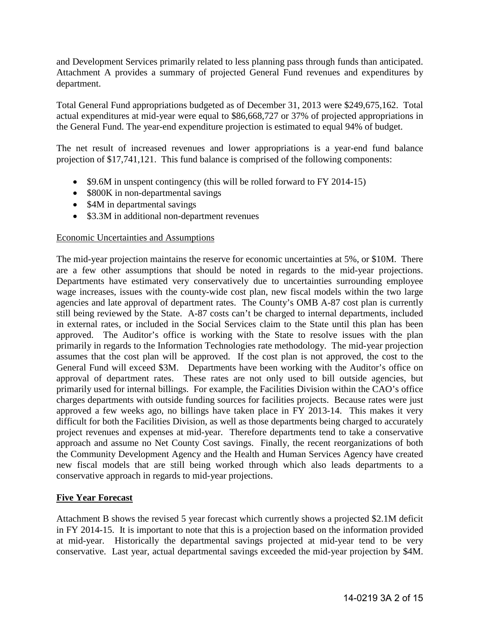and Development Services primarily related to less planning pass through funds than anticipated. Attachment A provides a summary of projected General Fund revenues and expenditures by department.

Total General Fund appropriations budgeted as of December 31, 2013 were \$249,675,162. Total actual expenditures at mid-year were equal to \$86,668,727 or 37% of projected appropriations in the General Fund. The year-end expenditure projection is estimated to equal 94% of budget.

The net result of increased revenues and lower appropriations is a year-end fund balance projection of \$17,741,121. This fund balance is comprised of the following components:

- \$9.6M in unspent contingency (this will be rolled forward to FY 2014-15)
- \$800K in non-departmental savings
- \$4M in departmental savings
- \$3.3M in additional non-department revenues

# Economic Uncertainties and Assumptions

The mid-year projection maintains the reserve for economic uncertainties at 5%, or \$10M. There are a few other assumptions that should be noted in regards to the mid-year projections. Departments have estimated very conservatively due to uncertainties surrounding employee wage increases, issues with the county-wide cost plan, new fiscal models within the two large agencies and late approval of department rates. The County's OMB A-87 cost plan is currently still being reviewed by the State. A-87 costs can't be charged to internal departments, included in external rates, or included in the Social Services claim to the State until this plan has been approved. The Auditor's office is working with the State to resolve issues with the plan primarily in regards to the Information Technologies rate methodology. The mid-year projection assumes that the cost plan will be approved. If the cost plan is not approved, the cost to the General Fund will exceed \$3M. Departments have been working with the Auditor's office on approval of department rates. These rates are not only used to bill outside agencies, but primarily used for internal billings. For example, the Facilities Division within the CAO's office charges departments with outside funding sources for facilities projects. Because rates were just approved a few weeks ago, no billings have taken place in FY 2013-14. This makes it very difficult for both the Facilities Division, as well as those departments being charged to accurately project revenues and expenses at mid-year. Therefore departments tend to take a conservative approach and assume no Net County Cost savings. Finally, the recent reorganizations of both the Community Development Agency and the Health and Human Services Agency have created new fiscal models that are still being worked through which also leads departments to a conservative approach in regards to mid-year projections.

# **Five Year Forecast**

Attachment B shows the revised 5 year forecast which currently shows a projected \$2.1M deficit in FY 2014-15. It is important to note that this is a projection based on the information provided at mid-year. Historically the departmental savings projected at mid-year tend to be very conservative. Last year, actual departmental savings exceeded the mid-year projection by \$4M.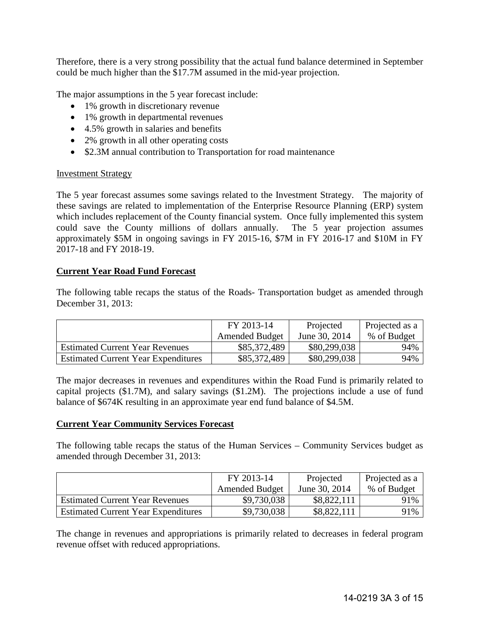Therefore, there is a very strong possibility that the actual fund balance determined in September could be much higher than the \$17.7M assumed in the mid-year projection.

The major assumptions in the 5 year forecast include:

- 1% growth in discretionary revenue
- 1% growth in departmental revenues
- 4.5% growth in salaries and benefits
- 2% growth in all other operating costs
- \$2.3M annual contribution to Transportation for road maintenance

#### Investment Strategy

The 5 year forecast assumes some savings related to the Investment Strategy. The majority of these savings are related to implementation of the Enterprise Resource Planning (ERP) system which includes replacement of the County financial system. Once fully implemented this system could save the County millions of dollars annually. The 5 year projection assumes approximately \$5M in ongoing savings in FY 2015-16, \$7M in FY 2016-17 and \$10M in FY 2017-18 and FY 2018-19.

# **Current Year Road Fund Forecast**

The following table recaps the status of the Roads- Transportation budget as amended through December 31, 2013:

|                                            | FY 2013-14            | Projected     | Projected as a |
|--------------------------------------------|-----------------------|---------------|----------------|
|                                            | <b>Amended Budget</b> | June 30, 2014 | % of Budget    |
| <b>Estimated Current Year Revenues</b>     | \$85,372,489          | \$80,299,038  | 94%            |
| <b>Estimated Current Year Expenditures</b> | \$85,372,489          | \$80,299,038  | 94%            |

The major decreases in revenues and expenditures within the Road Fund is primarily related to capital projects (\$1.7M), and salary savings (\$1.2M). The projections include a use of fund balance of \$674K resulting in an approximate year end fund balance of \$4.5M.

# **Current Year Community Services Forecast**

The following table recaps the status of the Human Services – Community Services budget as amended through December 31, 2013:

|                                            | FY 2013-14            | Projected     | Projected as a |
|--------------------------------------------|-----------------------|---------------|----------------|
|                                            | <b>Amended Budget</b> | June 30, 2014 | % of Budget    |
| <b>Estimated Current Year Revenues</b>     | \$9,730,038           | \$8,822,111   | 91%            |
| <b>Estimated Current Year Expenditures</b> | \$9,730,038           | \$8,822,111   | 91%            |

The change in revenues and appropriations is primarily related to decreases in federal program revenue offset with reduced appropriations.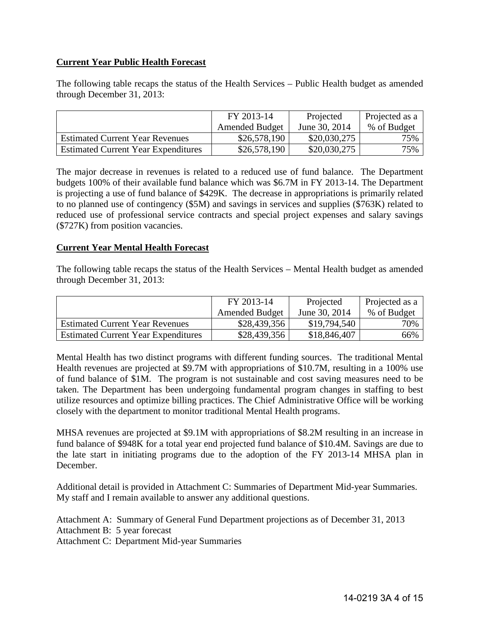# **Current Year Public Health Forecast**

The following table recaps the status of the Health Services – Public Health budget as amended through December 31, 2013:

|                                            | FY 2013-14            | Projected     | Projected as a |
|--------------------------------------------|-----------------------|---------------|----------------|
|                                            | <b>Amended Budget</b> | June 30, 2014 | % of Budget    |
| <b>Estimated Current Year Revenues</b>     | \$26,578,190          | \$20,030,275  | 75%            |
| <b>Estimated Current Year Expenditures</b> | \$26,578,190          | \$20,030,275  | 75%            |

The major decrease in revenues is related to a reduced use of fund balance. The Department budgets 100% of their available fund balance which was \$6.7M in FY 2013-14. The Department is projecting a use of fund balance of \$429K. The decrease in appropriations is primarily related to no planned use of contingency (\$5M) and savings in services and supplies (\$763K) related to reduced use of professional service contracts and special project expenses and salary savings (\$727K) from position vacancies.

# **Current Year Mental Health Forecast**

The following table recaps the status of the Health Services – Mental Health budget as amended through December 31, 2013:

|                                            | FY 2013-14            | Projected     | Projected as a |
|--------------------------------------------|-----------------------|---------------|----------------|
|                                            | <b>Amended Budget</b> | June 30, 2014 | % of Budget    |
| <b>Estimated Current Year Revenues</b>     | \$28,439,356          | \$19,794,540  | 70%            |
| <b>Estimated Current Year Expenditures</b> | \$28,439,356          | \$18,846,407  | 66%            |

Mental Health has two distinct programs with different funding sources. The traditional Mental Health revenues are projected at \$9.7M with appropriations of \$10.7M, resulting in a 100% use of fund balance of \$1M. The program is not sustainable and cost saving measures need to be taken. The Department has been undergoing fundamental program changes in staffing to best utilize resources and optimize billing practices. The Chief Administrative Office will be working closely with the department to monitor traditional Mental Health programs.

MHSA revenues are projected at \$9.1M with appropriations of \$8.2M resulting in an increase in fund balance of \$948K for a total year end projected fund balance of \$10.4M. Savings are due to the late start in initiating programs due to the adoption of the FY 2013-14 MHSA plan in December.

Additional detail is provided in Attachment C: Summaries of Department Mid-year Summaries. My staff and I remain available to answer any additional questions.

Attachment A: Summary of General Fund Department projections as of December 31, 2013 Attachment B: 5 year forecast

Attachment C: Department Mid-year Summaries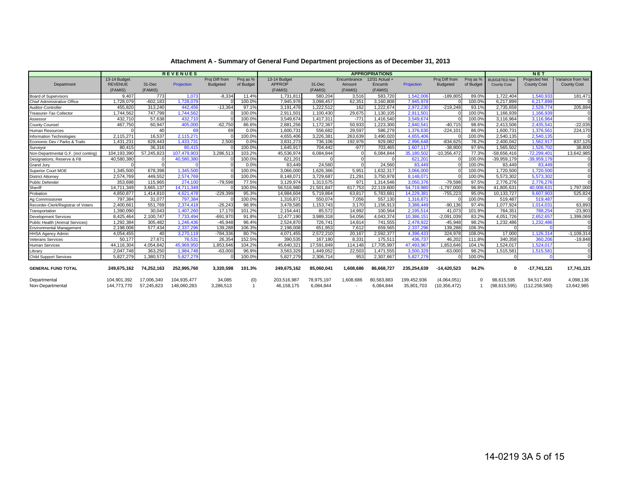| Attachment A - Summary of General Fund Department projections as of December 31, 2013 |
|---------------------------------------------------------------------------------------|
|---------------------------------------------------------------------------------------|

|                                      |                |            | <b>REVENUES</b>   |                 |           | <b>APPROPRIATIONS</b> |            |             |                |             |                 |           | N E 1               |                      |                    |  |
|--------------------------------------|----------------|------------|-------------------|-----------------|-----------|-----------------------|------------|-------------|----------------|-------------|-----------------|-----------|---------------------|----------------------|--------------------|--|
|                                      | 13-14 Budget   |            |                   | Proi Diff from  | Proj as % | 13-14 Budget          |            | Encumbrance | 12/31 Actual + |             | Proi Diff from  | Proj as % | <b>BUDGETED Net</b> | <b>Projected Net</b> | Variance from Net  |  |
| Department                           | <b>REVENUE</b> | 31-Dec     | <b>Projection</b> | <b>Budgeted</b> | of Budget | <b>APPROP</b>         | 31-Dec     | Amount      | Encumb         | Projection  | <b>Budgeted</b> | of Budget | <b>County Cost</b>  | <b>County Cost</b>   | <b>County Cost</b> |  |
|                                      | (FAMIS)        | (FAMIS)    |                   |                 |           | (FAMIS)               | (FAMIS)    | (FAMIS)     | (FAMIS)        |             |                 |           |                     |                      |                    |  |
| <b>Board of Supervisors</b>          | 9.407          | 773        | 1.073             | $-8,334$        | 11.4%     | 1,731,81              | 580.204    | 3,516       | 583,720        | 1,542,00    | $-189.805$      | 89.0%     | 1,722,404           | 1,540,933            | 181,471            |  |
| Chief Administrative Office          | 1.728.079      | $-602,183$ | 1.728.07          |                 | 100.09    | 7.945.978             | 3.098.457  | 62.35'      | 3.160.808      | 7,945,97    |                 | 100.0%    | 6.217.899           | 6.217.89             |                    |  |
| Auditor-Controller                   | 455.820        | 313.240    | 442.456           | $-13.364$       | 97.19     | 3.191.478             | 1.222.512  | 162         | 1.222.674      | 2,972,230   | $-219.248$      | 93.1%     | 2.735.658           | 2,529,774            | 205,884            |  |
| Treasurer-Tax Collector              | 1,744,562      | 747,799    | 1,744,562         |                 | 100.09    | 2,911,501             | 1,100,430  | 29,675      | 1,130,105      | 2,911,501   |                 | 100.0%    | 1,166,939           | 1,166,939            |                    |  |
| Assessor                             | 432.710        | 57.638     | 432.710           |                 | 100.09    | 3.549.674             | 1.417.311  | $-771$      | 1.416.540      | 3.549.674   |                 | 100.0%    | 3.116.964           | 3.116.964            | $\Omega$           |  |
| County Counsel                       | 467,750        | 60,947     | 405,000           | $-62,750$       | 86.6%     | 2,881,256             | 1,172,367  | 50,933      | 1,223,300      | 2,840,541   | $-40,715$       | 98.6%     | 2,413,506           | 2,435,54             | $-22,035$          |  |
| Human Resources                      |                | 40         | 69                | 69              | 0.09      | 1.600.731             | 556,682    | 29,597      | 586,279        | 1,376,630   | $-224.101$      | 86.0%     | 1.600.731           | 1,376,56             | 224,170            |  |
| Information Technologies             | 2.115.27'      | 16,537     | 2,115,27          |                 | 100.09    | 4,655,406             | 3,226,381  | 263,639     | 3,490,020      | 4,655,406   |                 | 100.0%    | 2,540,135           | 2,540,135            |                    |  |
| Economic Dev / Parks & Trails        | 1,431,231      | 628,443    | 1,433,73          | 2,500           | 0.09      | 3,831,273             | 736,106    | 192,976     | 929,082        | 2,996,648   | $-834,625$      | 78.2%     | 2,400,042           | 1,562,917            | 837,125            |  |
| Surveyor                             | 80.415         | 36,316     | 80,415            |                 | 100.09    | 1.645.917             | 704.442    | $-977$      | 703,465        | 1.607.117   | $-38.800$       | 97.6%     | 1.565.502           | 1,526,70             | 38,800             |  |
| Non-Departmental G.F. (incl conting) | 104.193.390    | 57.245.823 | 107.479.903       | 3.286.513       | 103.29    | 45.536.974            | 6.084.844  |             | 6.084.844      | 35.180.50   | $-10.356.472$   | 77.3%     | $-58.656.416$       | $-72.299.40$         | 13,642,985         |  |
| Designations, Reserve & FB           | 40,580,380     |            | 40,580,380        |                 | 100.09    | 621,201               |            | $\Omega$    |                | 621,201     |                 | 100.0%    | $-39,959,179$       | $-39,959,179$        |                    |  |
| <b>Grand Jury</b>                    |                |            |                   |                 | 0.09      | 83.449                | 24,560     | $\Omega$    | 24.560         | 83.449      |                 | 100.0%    | 83.449              | 83.449               |                    |  |
| <b>Superior Court MOE</b>            | 1.345.500      | 678.398    | 1,345,500         |                 | 100.09    | 3.066.00              | 1.626.366  | 5.951       | 1.632.317      | 3.066.000   |                 | 100.0%    | 1.720.500           | 1.720.500            |                    |  |
| <b>District Attorney</b>             | 2.574.769      | 449.552    | 2,574,769         |                 | 100.09    | 8.148.07              | 3.729.687  | 21,291      | 3.750.978      | 8.148.07    |                 | 100.0%    | 5.573.302           | 5,573,302            |                    |  |
| <b>Public Defender</b>               | 353.698        | 115.965    | 274,100           | $-79.598$       | 77.5%     | 3.129.97              | 1,313,575  | 971         | 1.314.546      | 3.050.376   | $-79.598$       | 97.5%     | 2.776.276           | 2.776.276            |                    |  |
| Sheriff                              | 14,711,349     | 3,665,137  | 14,711,349        |                 | 100.09    | 56,516,980            | 21,501,847 | 617.753     | 22,119,600     | 54,719,98   | $-1,797,000$    | 96.8%     | 41,805,631          | 40,008,63            | 1,797,000          |  |
| Probation                            | 4.850.877      | 1.414.810  | 4,621,478         | $-229,399$      | 95.3%     | 14.984.604            | 5,719,864  | 63,817      | 5,783,681      | 14.229.381  | $-755,223$      | 95.0%     | 10.133.727          | 9.607.903            | 525,824            |  |
| Ag Commissioner                      | 797.384        | 31.077     | 797.384           |                 | 100.0%    | 1.316.87              | 550.074    | 7.056       | 557.130        | 1.316.87    |                 | 100.0%    | 519.487             | 519.487              |                    |  |
| Recorder-Clerk/Registrar of Voters   | 2,400,661      | 551,769    | 2,374,418         | $-26,243$       | 98.9%     | 3,478,585             | 1,153,743  | 3.170       | 1,156,913      | 3,388,449   | $-90.136$       | 97.4%     | 1.077.924           | 1,014,03             | 63,893             |  |
| Transportation                       | 1,390,090      | 30,043     | 1,407,260         | 17.170          | 101.29    | 2,154,441             | 85,572     | 14,992      | 100.564        | 2,195,514   | 41.073          | 101.9%    | 764.351             | 788.254              | $-23,903$          |  |
| <b>Development Services</b>          | 8.425.464      | 2.100.747  | 7,733,494         | $-691.970$      | 91.89     | 12.477.19             | 3.989.318  | 54.056      | 4.043.374      | 10.386.15   | $-2,091,039$    | 83.2%     | 4.051.726           | 2.652.65             | ,399,069           |  |
| Public Health (Animal Services)      | 1.292.384      | 305,482    | 1,246,436         | $-45,948$       | 96.4%     | 2,524,870             | 726.741    | 14,814      | 741,555        | 2.478.922   | $-45,948$       | 98.2%     | 1.232.486           | 1,232,486            |                    |  |
| <b>Environmental Management</b>      | 2.198.008      | 577.434    | 2.337.29          | 139,288         | 106.3%    | 2.198.008             | 651.953    | 7.612       | 659.565        | 2.337.296   | 139.288         | 106.3%    |                     |                      |                    |  |
| <b>HHSA Agency Admin</b>             | 4,054,455      | 40         | 3,270,119         | $-784,336$      | 80.7%     | 4,071,455             | 2,572,210  | 20,167      | 2,592,377      | 4,396,433   | 324,978         | 108.0%    | 17,000              | 1.126.314            | $-1,109,314$       |  |
| Veterans Services                    | 50.177         | 27.671     | 76.53'            | 26,354          | 152.5%    | 390,535               | 167.180    | 8,331       | 175.511        | 436,737     | 46,202          | 111.8%    | 340,358             | 360.206              | $-19,848$          |  |
| Human Services                       | 44.116.304     | 4.054.842  | 45.969.950        | 1.853.646       | 104.29    | 45.640.321            | 17,591,849 | 114.148     | 17,705,997     | 47.493.967  | 1,853,646       | 104.1%    | 1.524.017           | 1.524.017            |                    |  |
| Library                              | 2.047.748      | 363,250    | 1,984,748         | $-63,000$       | 96.9%     | 3.563.329             | 1.449.052  | 22,503      | 1,471,555      | 3,500,329   | $-63,000$       | 98.2%     | 1,515,581           | 1,515,58             | $\Omega$           |  |
| <b>Child Support Services</b>        | 5,827,279      | ,380,573   | 5,827,279         |                 | 100.0%    | 5,827,279             | 2,306,714  | 953         | 2,307,667      | 5,827,279   |                 | 100.0%    | $\Omega$            |                      | $\Omega$           |  |
| <b>GENERAL FUND TOTAL</b>            | 249.675.162    | 74,252,163 | 252.995.760       | 3.320.598       | 101.3%    | 249,675,162           | 85.060.041 | 1.608.686   | 86.668.727     | 235.254.639 | $-14.420.523$   | 94.2%     | $\Omega$            | $-17,741,121$        | 17,741,121         |  |
| Departmental                         | 104.901.392    | 17.006.340 | 104,935,477       | 34,085          | (0)       | 203,516,987           | 78,975,197 | 1,608,686   | 80.583.883     | 199,452,936 | (4,064,051)     |           | 98.615.595          | 94,517,459           | 4,098,136          |  |
| Non-Departmental                     | 144.773.770    | 57,245,823 | 148,060,283       | 3,286,513       |           | 46, 158, 175          | 6,084,844  |             | 6,084,844      | 35,801,703  | (10, 356, 472)  |           | (98, 615, 595)      | (112, 258, 580)      | 13,642,985         |  |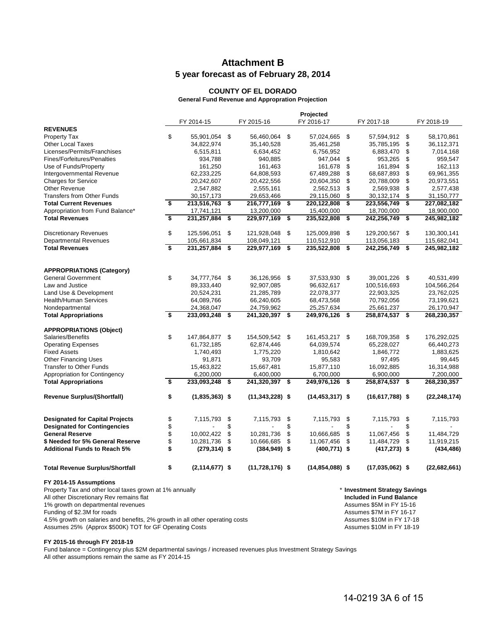# **Attachment B 5 year forecast as of February 28, 2014**

# **COUNTY OF EL DORADO**

**General Fund Revenue and Appropration Projection**

|                                                                                                     |                         | FY 2014-15         | FY 2015-16           |                                      | Projected<br>FY 2016-17 | FY 2017-18                                                       | FY 2018-19        |
|-----------------------------------------------------------------------------------------------------|-------------------------|--------------------|----------------------|--------------------------------------|-------------------------|------------------------------------------------------------------|-------------------|
| <b>REVENUES</b>                                                                                     |                         |                    |                      |                                      |                         |                                                                  |                   |
| Property Tax                                                                                        | \$                      | 55,901,054 \$      | 56,460,064 \$        |                                      | 57,024,665 \$           | 57,594,912 \$                                                    | 58,170,861        |
| <b>Other Local Taxes</b>                                                                            |                         | 34,822,974         | 35,140,528           |                                      | 35,461,258              | 35,785,195                                                       | \$<br>36,112,371  |
| Licenses/Permits/Franchises                                                                         |                         | 6,515,811          | 6,634,452            |                                      | 6,756,952               | 6,883,470                                                        | \$<br>7,014,168   |
| Fines/Forfeitures/Penalties                                                                         |                         | 934,788            | 940,885              |                                      | 947,044                 | \$<br>953,265                                                    | \$<br>959,547     |
| Use of Funds/Property                                                                               |                         | 161,250            | 161,463              |                                      | 161,678                 | \$<br>161,894                                                    | \$<br>162,113     |
| Intergovernmental Revenue                                                                           |                         | 62,233,225         | 64,808,593           |                                      | 67,489,288              | \$<br>68,687,893                                                 | \$<br>69,961,355  |
| <b>Charges for Service</b>                                                                          |                         | 20,242,607         | 20,422,556           |                                      | 20,604,350              | \$<br>20,788,009                                                 | \$<br>20,973,551  |
| <b>Other Revenue</b>                                                                                |                         | 2,547,882          | 2,555,161            |                                      | 2,562,513               | \$<br>2,569,938                                                  | \$<br>2,577,438   |
| <b>Transfers from Other Funds</b>                                                                   |                         | 30, 157, 173       | 29,653,466           |                                      | 29,115,060              | \$<br>30,132,174                                                 | \$<br>31,150,777  |
| <b>Total Current Revenues</b>                                                                       | \$                      | 213,516,763        | \$<br>216,777,169 \$ |                                      | 220,122,808             | \$<br>223,556,749                                                | \$<br>227,082,182 |
| Appropriation from Fund Balance*                                                                    |                         | 17,741,121         | 13,200,000           |                                      | 15,400,000              | 18,700,000                                                       | 18,900,000        |
| <b>Total Revenues</b>                                                                               | $\overline{\mathbf{s}}$ | 231,257,884        | \$<br>229,977,169    | $\overline{\boldsymbol{\mathsf{s}}}$ | 235,522,808             | \$<br>242,256,749                                                | \$<br>245,982,182 |
| <b>Discretionary Revenues</b>                                                                       | \$                      | 125,596,051        | \$<br>121,928,048 \$ |                                      | 125,009,898 \$          | 129,200,567 \$                                                   | 130,300,141       |
| <b>Departmental Revenues</b>                                                                        |                         | 105,661,834        | 108,049,121          |                                      | 110,512,910             | 113,056,183                                                      | 115,682,041       |
| <b>Total Revenues</b>                                                                               | \$                      | 231,257,884        | \$<br>229,977,169    | - \$                                 | 235,522,808             | \$<br>242,256,749                                                | \$<br>245,982,182 |
| <b>APPROPRIATIONS (Category)</b>                                                                    |                         |                    |                      |                                      |                         |                                                                  |                   |
| <b>General Government</b>                                                                           | \$                      | 34,777,764         | \$<br>36,126,956 \$  |                                      | 37,533,930 \$           | 39,001,226 \$                                                    | 40,531,499        |
| Law and Justice                                                                                     |                         | 89,333,440         | 92,907,085           |                                      | 96,632,617              | 100,516,693                                                      | 104,566,264       |
| Land Use & Development                                                                              |                         | 20,524,231         | 21,285,789           |                                      | 22,078,377              | 22,903,325                                                       | 23,762,025        |
| <b>Health/Human Services</b>                                                                        |                         | 64,089,766         | 66,240,605           |                                      | 68,473,568              | 70,792,056                                                       | 73,199,621        |
| Nondepartmental                                                                                     |                         | 24,368,047         | 24,759,962           |                                      | 25,257,634              | 25,661,237                                                       | 26,170,947        |
| <b>Total Appropriations</b>                                                                         | \$                      | 233,093,248        | \$<br>241,320,397 \$ |                                      | 249,976,126             | \$<br>258,874,537 \$                                             | 268,230,357       |
| <b>APPROPRIATIONS (Object)</b>                                                                      |                         |                    |                      |                                      |                         |                                                                  |                   |
| Salaries/Benefits                                                                                   | \$                      | 147,864,877        | \$<br>154,509,542 \$ |                                      | 161,453,217 \$          | 168,709,358 \$                                                   | 176,292,025       |
| <b>Operating Expenses</b>                                                                           |                         | 61,732,185         | 62,874,446           |                                      | 64,039,574              | 65,228,027                                                       | 66,440,273        |
| <b>Fixed Assets</b>                                                                                 |                         | 1,740,493          | 1,775,220            |                                      | 1,810,642               | 1,846,772                                                        | 1,883,625         |
| <b>Other Financing Uses</b>                                                                         |                         | 91,871             | 93,709               |                                      | 95,583                  | 97,495                                                           | 99,445            |
| <b>Transfer to Other Funds</b>                                                                      |                         | 15,463,822         | 15,667,481           |                                      | 15,877,110              | 16,092,885                                                       | 16,314,988        |
| Appropriation for Contingency                                                                       |                         | 6,200,000          | 6,400,000            |                                      | 6,700,000               | 6,900,000                                                        | 7,200,000         |
| <b>Total Appropriations</b>                                                                         | \$                      | 233,093,248        | \$<br>241,320,397 \$ |                                      | 249,976,126             | \$<br>258,874,537 \$                                             | 268,230,357       |
| <b>Revenue Surplus/(Shortfall)</b>                                                                  | \$                      | $(1,835,363)$ \$   | $(11,343,228)$ \$    |                                      | $(14, 453, 317)$ \$     | $(16,617,788)$ \$                                                | (22, 248, 174)    |
| <b>Designated for Capital Projects</b>                                                              | \$                      | 7,115,793          | \$<br>7,115,793      | \$                                   | 7,115,793               | \$<br>7,115,793                                                  | \$<br>7,115,793   |
| <b>Designated for Contingencies</b>                                                                 | \$                      |                    | \$                   | \$                                   |                         | \$                                                               | \$                |
| <b>General Reserve</b>                                                                              | \$                      | 10,002,422         | \$<br>10,281,736     | \$                                   | 10,666,685              | \$<br>11,067,456                                                 | \$<br>11,484,729  |
| \$ Needed for 5% General Reserve                                                                    | \$                      | 10,281,736         | \$<br>10,666,685     | \$                                   | 11,067,456              | \$<br>11,484,729                                                 | \$<br>11,919,215  |
| <b>Additional Funds to Reach 5%</b>                                                                 | \$                      | $(279, 314)$ \$    | $(384, 949)$ \$      |                                      | $(400, 771)$ \$         | $(417, 273)$ \$                                                  | (434, 486)        |
| <b>Total Revenue Surplus/Shortfall</b>                                                              | \$                      | $(2, 114, 677)$ \$ | $(11, 728, 176)$ \$  |                                      | $(14, 854, 088)$ \$     | $(17,035,062)$ \$                                                | (22,682,661)      |
| FY 2014-15 Assumptions                                                                              |                         |                    |                      |                                      |                         |                                                                  |                   |
| Property Tax and other local taxes grown at 1% annually<br>All other Discretionary Rev remains flat |                         |                    |                      |                                      |                         | * Investment Strategy Savings<br><b>Included in Fund Balance</b> |                   |
| 1% growth on departmental revenues                                                                  |                         |                    |                      |                                      |                         | Assumes \$5M in FY 15-16                                         |                   |

Funding of \$2.3M for roads<br>4.5% growth on salaries and benefits, 2% growth in all other operating costs Assumes \$10M in FY 16-17<br>4.5% growth on salaries and benefits, 2% growth in all other operating costs Assumes \$10M in 4.5% growth on salaries and benefits, 2% growth in all other operating costs Assumes \$10M in FY 17-18<br>Assumes 25% (Approx \$500K) TOT for GF Operating Costs Assumes \$10M in FY 18-19

Assumes 25% (Approx \$500K) TOT for GF Operating Costs

#### **FY 2015-16 through FY 2018-19**

Fund balance = Contingency plus \$2M departmental savings / increased revenues plus Investment Strategy Savings All other assumptions remain the same as FY 2014-15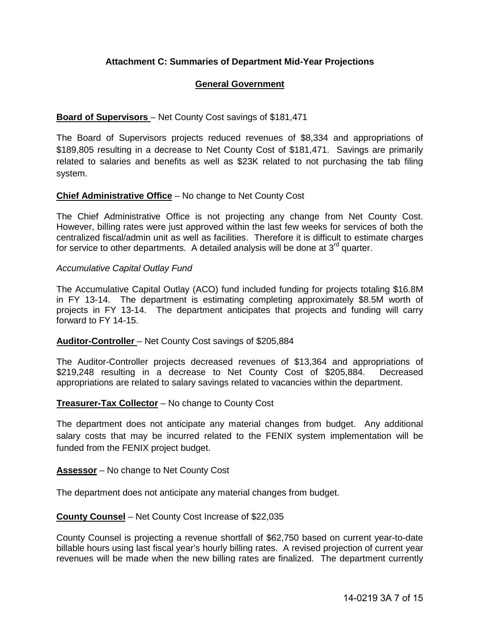# **Attachment C: Summaries of Department Mid-Year Projections**

# **General Government**

# **Board of Supervisors** – Net County Cost savings of \$181,471

The Board of Supervisors projects reduced revenues of \$8,334 and appropriations of \$189,805 resulting in a decrease to Net County Cost of \$181,471. Savings are primarily related to salaries and benefits as well as \$23K related to not purchasing the tab filing system.

# **Chief Administrative Office** – No change to Net County Cost

The Chief Administrative Office is not projecting any change from Net County Cost. However, billing rates were just approved within the last few weeks for services of both the centralized fiscal/admin unit as well as facilities. Therefore it is difficult to estimate charges for service to other departments. A detailed analysis will be done at  $3<sup>rd</sup>$  quarter.

# *Accumulative Capital Outlay Fund*

The Accumulative Capital Outlay (ACO) fund included funding for projects totaling \$16.8M in FY 13-14. The department is estimating completing approximately \$8.5M worth of projects in FY 13-14. The department anticipates that projects and funding will carry forward to FY 14-15.

# **Auditor-Controller** – Net County Cost savings of \$205,884

The Auditor-Controller projects decreased revenues of \$13,364 and appropriations of \$219,248 resulting in a decrease to Net County Cost of \$205,884. Decreased appropriations are related to salary savings related to vacancies within the department.

# **Treasurer-Tax Collector** – No change to County Cost

The department does not anticipate any material changes from budget. Any additional salary costs that may be incurred related to the FENIX system implementation will be funded from the FENIX project budget.

# **Assessor** – No change to Net County Cost

The department does not anticipate any material changes from budget.

# **County Counsel** – Net County Cost Increase of \$22,035

County Counsel is projecting a revenue shortfall of \$62,750 based on current year-to-date billable hours using last fiscal year's hourly billing rates. A revised projection of current year revenues will be made when the new billing rates are finalized. The department currently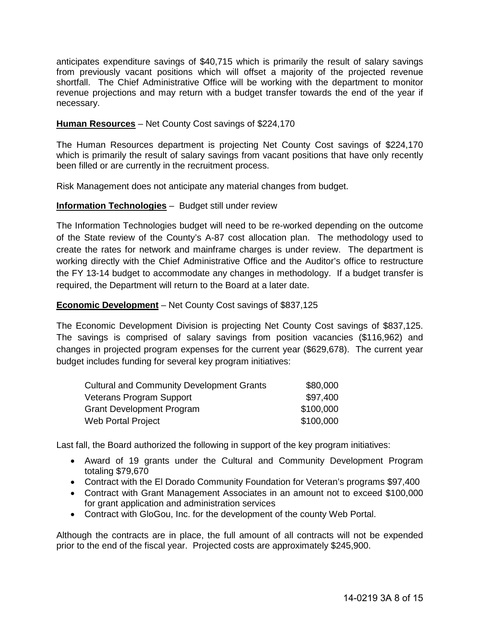anticipates expenditure savings of \$40,715 which is primarily the result of salary savings from previously vacant positions which will offset a majority of the projected revenue shortfall. The Chief Administrative Office will be working with the department to monitor revenue projections and may return with a budget transfer towards the end of the year if necessary.

# **Human Resources** – Net County Cost savings of \$224,170

The Human Resources department is projecting Net County Cost savings of \$224,170 which is primarily the result of salary savings from vacant positions that have only recently been filled or are currently in the recruitment process.

Risk Management does not anticipate any material changes from budget.

# **Information Technologies** – Budget still under review

The Information Technologies budget will need to be re-worked depending on the outcome of the State review of the County's A-87 cost allocation plan. The methodology used to create the rates for network and mainframe charges is under review. The department is working directly with the Chief Administrative Office and the Auditor's office to restructure the FY 13-14 budget to accommodate any changes in methodology. If a budget transfer is required, the Department will return to the Board at a later date.

# **Economic Development** – Net County Cost savings of \$837,125

The Economic Development Division is projecting Net County Cost savings of \$837,125. The savings is comprised of salary savings from position vacancies (\$116,962) and changes in projected program expenses for the current year (\$629,678). The current year budget includes funding for several key program initiatives:

| <b>Cultural and Community Development Grants</b> | \$80,000  |
|--------------------------------------------------|-----------|
| Veterans Program Support                         | \$97,400  |
| <b>Grant Development Program</b>                 | \$100,000 |
| Web Portal Project                               | \$100,000 |

Last fall, the Board authorized the following in support of the key program initiatives:

- Award of 19 grants under the Cultural and Community Development Program totaling \$79,670
- Contract with the El Dorado Community Foundation for Veteran's programs \$97,400
- Contract with Grant Management Associates in an amount not to exceed \$100,000 for grant application and administration services
- Contract with GloGou, Inc. for the development of the county Web Portal.

Although the contracts are in place, the full amount of all contracts will not be expended prior to the end of the fiscal year. Projected costs are approximately \$245,900.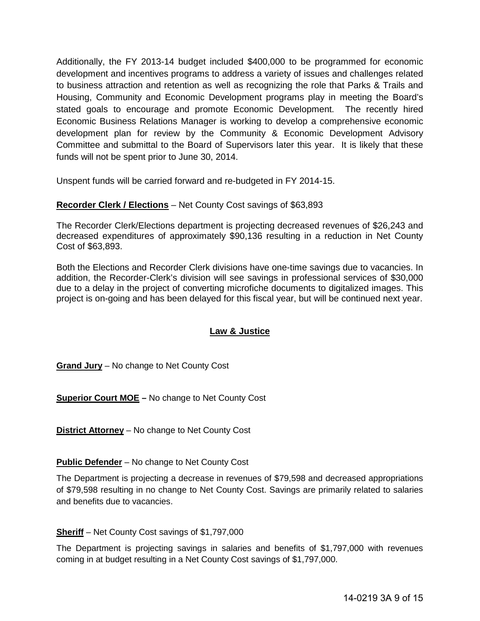Additionally, the FY 2013-14 budget included \$400,000 to be programmed for economic development and incentives programs to address a variety of issues and challenges related to business attraction and retention as well as recognizing the role that Parks & Trails and Housing, Community and Economic Development programs play in meeting the Board's stated goals to encourage and promote Economic Development. The recently hired Economic Business Relations Manager is working to develop a comprehensive economic development plan for review by the Community & Economic Development Advisory Committee and submittal to the Board of Supervisors later this year. It is likely that these funds will not be spent prior to June 30, 2014.

Unspent funds will be carried forward and re-budgeted in FY 2014-15.

# **Recorder Clerk / Elections** – Net County Cost savings of \$63,893

The Recorder Clerk/Elections department is projecting decreased revenues of \$26,243 and decreased expenditures of approximately \$90,136 resulting in a reduction in Net County Cost of \$63,893.

Both the Elections and Recorder Clerk divisions have one-time savings due to vacancies. In addition, the Recorder-Clerk's division will see savings in professional services of \$30,000 due to a delay in the project of converting microfiche documents to digitalized images. This project is on-going and has been delayed for this fiscal year, but will be continued next year.

# **Law & Justice**

**Grand Jury** – No change to Net County Cost

**Superior Court MOE –** No change to Net County Cost

**District Attorney** – No change to Net County Cost

**Public Defender** – No change to Net County Cost

The Department is projecting a decrease in revenues of \$79,598 and decreased appropriations of \$79,598 resulting in no change to Net County Cost. Savings are primarily related to salaries and benefits due to vacancies.

**Sheriff** – Net County Cost savings of \$1,797,000

The Department is projecting savings in salaries and benefits of \$1,797,000 with revenues coming in at budget resulting in a Net County Cost savings of \$1,797,000.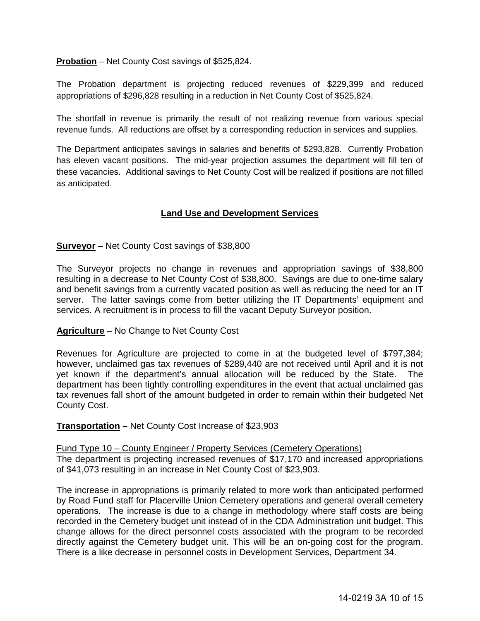**Probation** – Net County Cost savings of \$525,824.

The Probation department is projecting reduced revenues of \$229,399 and reduced appropriations of \$296,828 resulting in a reduction in Net County Cost of \$525,824.

The shortfall in revenue is primarily the result of not realizing revenue from various special revenue funds. All reductions are offset by a corresponding reduction in services and supplies.

The Department anticipates savings in salaries and benefits of \$293,828. Currently Probation has eleven vacant positions. The mid-year projection assumes the department will fill ten of these vacancies. Additional savings to Net County Cost will be realized if positions are not filled as anticipated.

# **Land Use and Development Services**

**Surveyor** – Net County Cost savings of \$38,800

The Surveyor projects no change in revenues and appropriation savings of \$38,800 resulting in a decrease to Net County Cost of \$38,800. Savings are due to one-time salary and benefit savings from a currently vacated position as well as reducing the need for an IT server. The latter savings come from better utilizing the IT Departments' equipment and services. A recruitment is in process to fill the vacant Deputy Surveyor position.

#### **Agriculture** – No Change to Net County Cost

Revenues for Agriculture are projected to come in at the budgeted level of \$797,384; however, unclaimed gas tax revenues of \$289,440 are not received until April and it is not yet known if the department's annual allocation will be reduced by the State. The department has been tightly controlling expenditures in the event that actual unclaimed gas tax revenues fall short of the amount budgeted in order to remain within their budgeted Net County Cost.

#### **Transportation –** Net County Cost Increase of \$23,903

Fund Type 10 – County Engineer / Property Services (Cemetery Operations)

The department is projecting increased revenues of \$17,170 and increased appropriations of \$41,073 resulting in an increase in Net County Cost of \$23,903.

The increase in appropriations is primarily related to more work than anticipated performed by Road Fund staff for Placerville Union Cemetery operations and general overall cemetery operations. The increase is due to a change in methodology where staff costs are being recorded in the Cemetery budget unit instead of in the CDA Administration unit budget. This change allows for the direct personnel costs associated with the program to be recorded directly against the Cemetery budget unit. This will be an on-going cost for the program. There is a like decrease in personnel costs in Development Services, Department 34.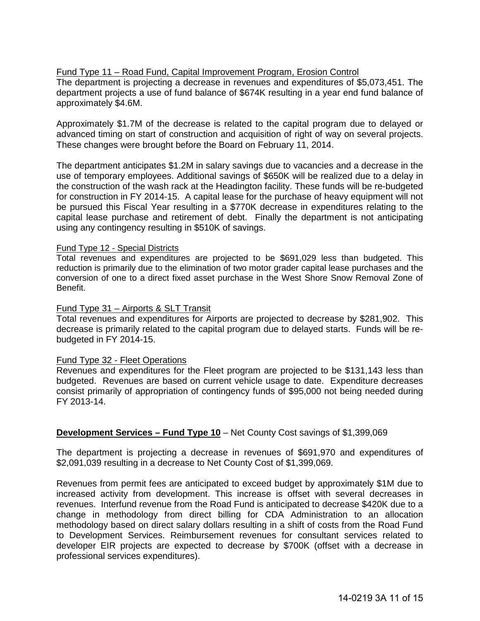# Fund Type 11 – Road Fund, Capital Improvement Program, Erosion Control

The department is projecting a decrease in revenues and expenditures of \$5,073,451. The department projects a use of fund balance of \$674K resulting in a year end fund balance of approximately \$4.6M.

Approximately \$1.7M of the decrease is related to the capital program due to delayed or advanced timing on start of construction and acquisition of right of way on several projects. These changes were brought before the Board on February 11, 2014.

The department anticipates \$1.2M in salary savings due to vacancies and a decrease in the use of temporary employees. Additional savings of \$650K will be realized due to a delay in the construction of the wash rack at the Headington facility. These funds will be re-budgeted for construction in FY 2014-15. A capital lease for the purchase of heavy equipment will not be pursued this Fiscal Year resulting in a \$770K decrease in expenditures relating to the capital lease purchase and retirement of debt. Finally the department is not anticipating using any contingency resulting in \$510K of savings.

# Fund Type 12 - Special Districts

Total revenues and expenditures are projected to be \$691,029 less than budgeted. This reduction is primarily due to the elimination of two motor grader capital lease purchases and the conversion of one to a direct fixed asset purchase in the West Shore Snow Removal Zone of Benefit.

#### Fund Type 31 – Airports & SLT Transit

Total revenues and expenditures for Airports are projected to decrease by \$281,902. This decrease is primarily related to the capital program due to delayed starts. Funds will be rebudgeted in FY 2014-15.

#### Fund Type 32 - Fleet Operations

Revenues and expenditures for the Fleet program are projected to be \$131,143 less than budgeted. Revenues are based on current vehicle usage to date. Expenditure decreases consist primarily of appropriation of contingency funds of \$95,000 not being needed during FY 2013-14.

# **Development Services – Fund Type 10** – Net County Cost savings of \$1,399,069

The department is projecting a decrease in revenues of \$691,970 and expenditures of \$2,091,039 resulting in a decrease to Net County Cost of \$1,399,069.

Revenues from permit fees are anticipated to exceed budget by approximately \$1M due to increased activity from development. This increase is offset with several decreases in revenues. Interfund revenue from the Road Fund is anticipated to decrease \$420K due to a change in methodology from direct billing for CDA Administration to an allocation methodology based on direct salary dollars resulting in a shift of costs from the Road Fund to Development Services. Reimbursement revenues for consultant services related to developer EIR projects are expected to decrease by \$700K (offset with a decrease in professional services expenditures).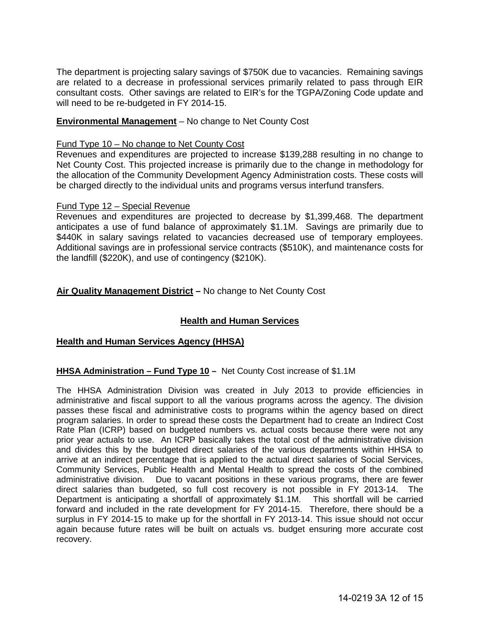The department is projecting salary savings of \$750K due to vacancies. Remaining savings are related to a decrease in professional services primarily related to pass through EIR consultant costs. Other savings are related to EIR's for the TGPA/Zoning Code update and will need to be re-budgeted in FY 2014-15.

#### **Environmental Management** – No change to Net County Cost

#### Fund Type 10 – No change to Net County Cost

Revenues and expenditures are projected to increase \$139,288 resulting in no change to Net County Cost. This projected increase is primarily due to the change in methodology for the allocation of the Community Development Agency Administration costs. These costs will be charged directly to the individual units and programs versus interfund transfers.

#### Fund Type 12 – Special Revenue

Revenues and expenditures are projected to decrease by \$1,399,468. The department anticipates a use of fund balance of approximately \$1.1M. Savings are primarily due to \$440K in salary savings related to vacancies decreased use of temporary employees. Additional savings are in professional service contracts (\$510K), and maintenance costs for the landfill (\$220K), and use of contingency (\$210K).

# **Air Quality Management District –** No change to Net County Cost

# **Health and Human Services**

# **Health and Human Services Agency (HHSA)**

#### **HHSA Administration – Fund Type 10 –** Net County Cost increase of \$1.1M

The HHSA Administration Division was created in July 2013 to provide efficiencies in administrative and fiscal support to all the various programs across the agency. The division passes these fiscal and administrative costs to programs within the agency based on direct program salaries. In order to spread these costs the Department had to create an Indirect Cost Rate Plan (ICRP) based on budgeted numbers vs. actual costs because there were not any prior year actuals to use. An ICRP basically takes the total cost of the administrative division and divides this by the budgeted direct salaries of the various departments within HHSA to arrive at an indirect percentage that is applied to the actual direct salaries of Social Services, Community Services, Public Health and Mental Health to spread the costs of the combined administrative division. Due to vacant positions in these various programs, there are fewer direct salaries than budgeted, so full cost recovery is not possible in FY 2013-14. The Department is anticipating a shortfall of approximately \$1.1M. This shortfall will be carried forward and included in the rate development for FY 2014-15. Therefore, there should be a surplus in FY 2014-15 to make up for the shortfall in FY 2013-14. This issue should not occur again because future rates will be built on actuals vs. budget ensuring more accurate cost recovery.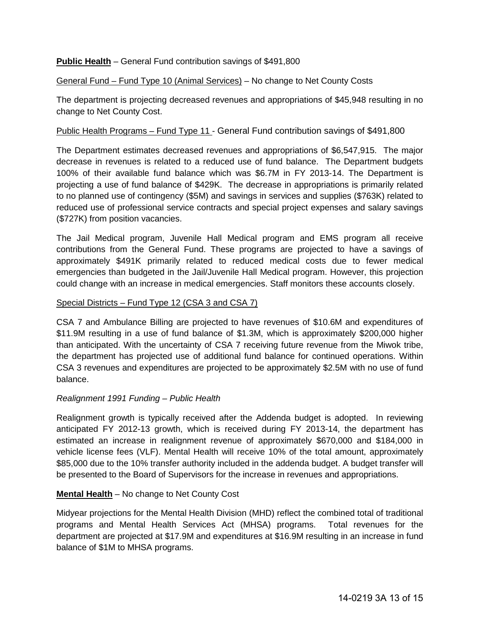**Public Health** – General Fund contribution savings of \$491,800

# General Fund – Fund Type 10 (Animal Services) – No change to Net County Costs

The department is projecting decreased revenues and appropriations of \$45,948 resulting in no change to Net County Cost.

# Public Health Programs – Fund Type 11 - General Fund contribution savings of \$491,800

The Department estimates decreased revenues and appropriations of \$6,547,915. The major decrease in revenues is related to a reduced use of fund balance. The Department budgets 100% of their available fund balance which was \$6.7M in FY 2013-14. The Department is projecting a use of fund balance of \$429K. The decrease in appropriations is primarily related to no planned use of contingency (\$5M) and savings in services and supplies (\$763K) related to reduced use of professional service contracts and special project expenses and salary savings (\$727K) from position vacancies.

The Jail Medical program, Juvenile Hall Medical program and EMS program all receive contributions from the General Fund. These programs are projected to have a savings of approximately \$491K primarily related to reduced medical costs due to fewer medical emergencies than budgeted in the Jail/Juvenile Hall Medical program. However, this projection could change with an increase in medical emergencies. Staff monitors these accounts closely.

# Special Districts – Fund Type 12 (CSA 3 and CSA 7)

CSA 7 and Ambulance Billing are projected to have revenues of \$10.6M and expenditures of \$11.9M resulting in a use of fund balance of \$1.3M, which is approximately \$200,000 higher than anticipated. With the uncertainty of CSA 7 receiving future revenue from the Miwok tribe, the department has projected use of additional fund balance for continued operations. Within CSA 3 revenues and expenditures are projected to be approximately \$2.5M with no use of fund balance.

# *Realignment 1991 Funding – Public Health*

Realignment growth is typically received after the Addenda budget is adopted. In reviewing anticipated FY 2012-13 growth, which is received during FY 2013-14, the department has estimated an increase in realignment revenue of approximately \$670,000 and \$184,000 in vehicle license fees (VLF). Mental Health will receive 10% of the total amount, approximately \$85,000 due to the 10% transfer authority included in the addenda budget. A budget transfer will be presented to the Board of Supervisors for the increase in revenues and appropriations.

# **Mental Health** – No change to Net County Cost

Midyear projections for the Mental Health Division (MHD) reflect the combined total of traditional programs and Mental Health Services Act (MHSA) programs. Total revenues for the department are projected at \$17.9M and expenditures at \$16.9M resulting in an increase in fund balance of \$1M to MHSA programs.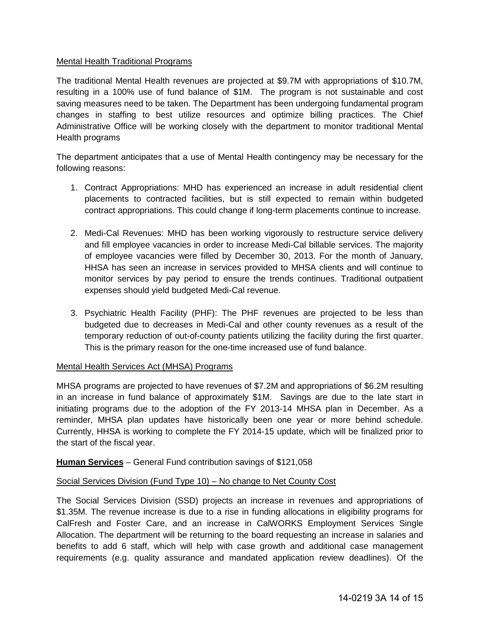# Mental Health Traditional Programs

The traditional Mental Health revenues are projected at \$9.7M with appropriations of \$10.7M, resulting in a 100% use of fund balance of \$1M. The program is not sustainable and cost saving measures need to be taken. The Department has been undergoing fundamental program changes in staffing to best utilize resources and optimize billing practices. The Chief Administrative Office will be working closely with the department to monitor traditional Mental Health programs

The department anticipates that a use of Mental Health contingency may be necessary for the following reasons:

- 1. Contract Appropriations: MHD has experienced an increase in adult residential client placements to contracted facilities, but is still expected to remain within budgeted contract appropriations. This could change if long-term placements continue to increase.
- 2. Medi-Cal Revenues: MHD has been working vigorously to restructure service delivery and fill employee vacancies in order to increase Medi-Cal billable services. The majority of employee vacancies were filled by December 30, 2013. For the month of January, HHSA has seen an increase in services provided to MHSA clients and will continue to monitor services by pay period to ensure the trends continues. Traditional outpatient expenses should yield budgeted Medi-Cal revenue.
- 3. Psychiatric Health Facility (PHF): The PHF revenues are projected to be less than budgeted due to decreases in Medi-Cal and other county revenues as a result of the temporary reduction of out-of-county patients utilizing the facility during the first quarter. This is the primary reason for the one-time increased use of fund balance.

# Mental Health Services Act (MHSA) Programs

MHSA programs are projected to have revenues of \$7.2M and appropriations of \$6.2M resulting in an increase in fund balance of approximately \$1M. Savings are due to the late start in initiating programs due to the adoption of the FY 2013-14 MHSA plan in December. As a reminder, MHSA plan updates have historically been one year or more behind schedule. Currently, HHSA is working to complete the FY 2014-15 update, which will be finalized prior to the start of the fiscal year.

# **Human Services** – General Fund contribution savings of \$121,058

# Social Services Division (Fund Type 10) – No change to Net County Cost

The Social Services Division (SSD) projects an increase in revenues and appropriations of \$1.35M. The revenue increase is due to a rise in funding allocations in eligibility programs for CalFresh and Foster Care, and an increase in CalWORKS Employment Services Single Allocation. The department will be returning to the board requesting an increase in salaries and benefits to add 6 staff, which will help with case growth and additional case management requirements (e.g. quality assurance and mandated application review deadlines). Of the